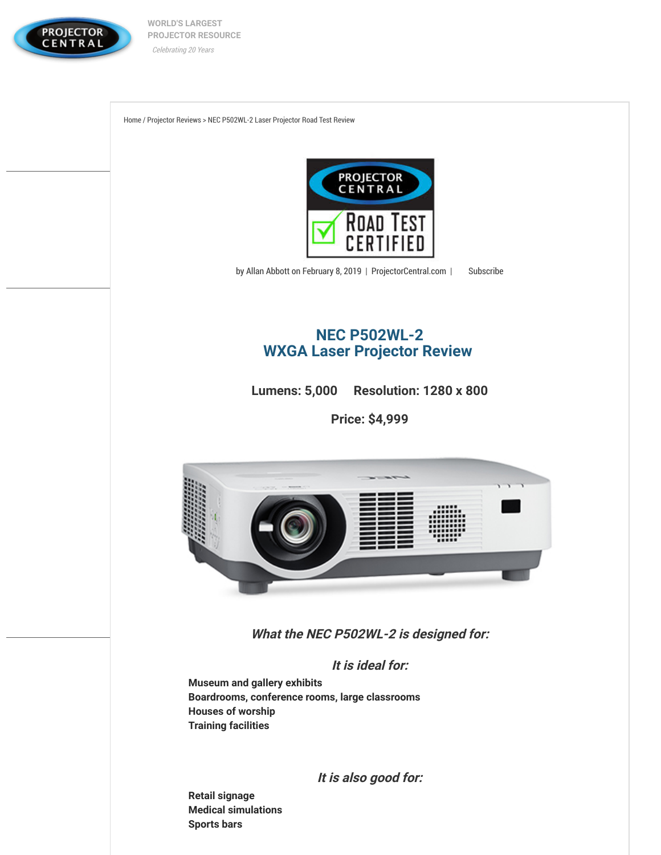

**[W](https://www.projectorcentral.com/)ORLD'S LARGEST PROJECTOR RESOURCE** Celebrating 20 Years

[Home](https://www.projectorcentral.com/) / [Projector Reviews](https://www.projectorcentral.com/projector-reviews.cfm) > NEC P502WL-2 Laser Projector Road Test Review



by Allan Abbott on February 8, 2019 | [ProjectorCentral.com](https://www.projectorcentral.com/) | [Subscribe](https://www.projectorcentral.com/emgr.cfm)

# **NEC P502WL-2 [WXGA Laser Projector Review](https://www.projectorcentral.com/NEC-P502WL-2.htm)**

**Lumens: 5,000 Resolution: 1280 x 800**

**Price: \$4,999**



**What the NEC P502WL-2 is designed for:**

**It is ideal for:**

**Museum and gallery exhibits Boardrooms, conference rooms, large classrooms Houses of worship Training facilities** 

**It is also good for:**

**Retail signage Medical simulations Sports bars**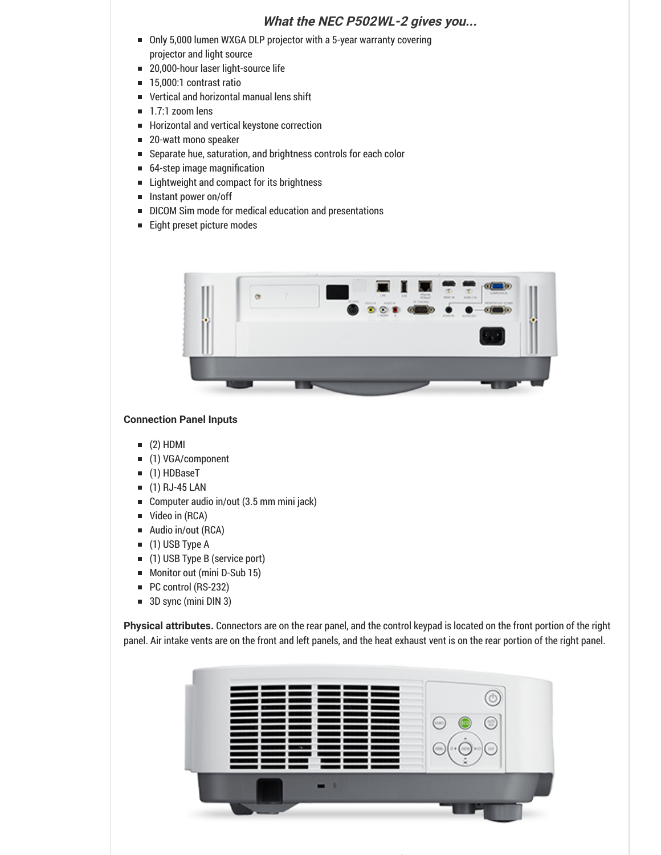# **What the NEC P502WL-2 gives you...**

- Only 5,000 lumen WXGA DLP projector with a 5-year warranty covering projector and light source
- 20,000-hour laser light-source life  $\blacksquare$
- 15,000:1 contrast ratio  $\blacksquare$
- Vertical and horizontal manual lens shift  $\blacksquare$
- $\blacksquare$  1.7:1 zoom lens
- Horizontal and vertical keystone correction
- 20-watt mono speaker  $\blacksquare$
- Separate hue, saturation, and brightness controls for each color  $\blacksquare$
- 64-step image magnification  $\blacksquare$
- $\blacksquare$ Lightweight and compact for its brightness
- Instant power on/off  $\blacksquare$
- $\blacksquare$ DICOM Sim mode for medical education and presentations
- Eight preset picture modes



#### **Connection Panel Inputs**

- $(2)$  HDMI
- (1) VGA/component  $\blacksquare$
- $\blacksquare$ (1) HDBaseT
- (1) RJ-45 LAN  $\blacksquare$
- Computer audio in/out (3.5 mm mini jack)  $\blacksquare$
- Video in (RCA)  $\blacksquare$
- Audio in/out (RCA)  $\blacksquare$
- $\blacksquare$ (1) USB Type A
- (1) USB Type B (service port)  $\blacksquare$
- Monitor out (mini D-Sub 15)  $\blacksquare$
- PC control (RS-232)  $\blacksquare$
- 3D sync (mini DIN 3)

**Physical attributes.** Connectors are on the rear panel, and the control keypad is located on the front portion of the right panel. Air intake vents are on the front and left panels, and the heat exhaust vent is on the rear portion of the right panel.



*f*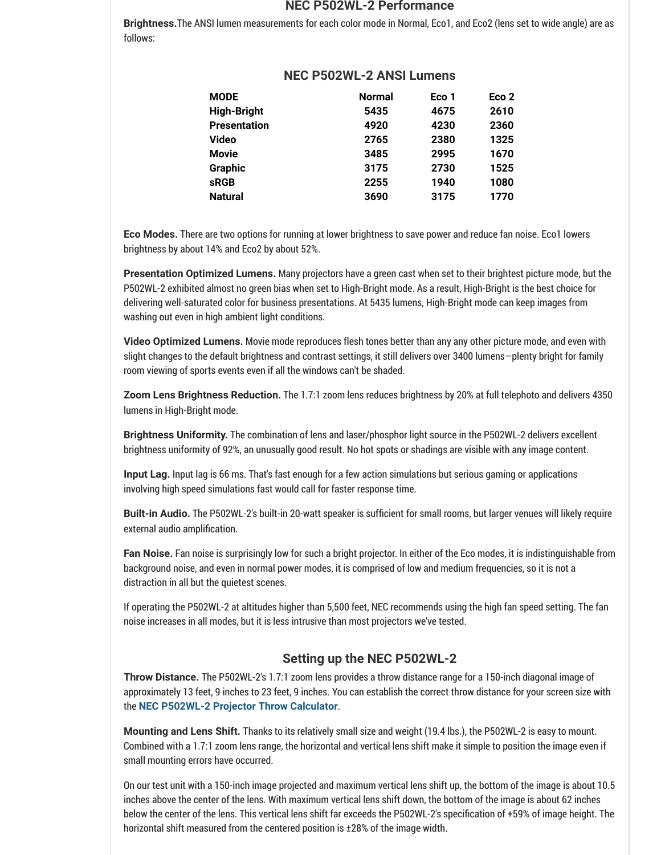#### **NEC P502WL-2 Performance**

**Brightness.**The ANSI lumen measurements for each color mode in Normal, Eco1, and Eco2 (lens set to wide angle) are as follows:

| MODE         | <b>Normal</b> | Eco 1 | Eco <sub>2</sub> |
|--------------|---------------|-------|------------------|
| High-Bright  | 5435          | 4675  | 2610             |
| Presentation | 4920          | 4230  | 2360             |
| Video        | 2765          | 2380  | 1325             |
| Movie        | 3485          | 2995  | 1670             |
| Graphic      | 3175          | 2730  | 1525             |
| sRGB         | 2255          | 1940  | 1080             |
| Natural      | 3690          | 3175  | 1770             |
|              |               |       |                  |

# **NEC P502WL-2 ANSI Lumens**

**Eco Modes.** There are two options for running at lower brightness to save power and reduce fan noise. Eco1 lowers brightness by about 14% and Eco2 by about 52%.

**Presentation Optimized Lumens.** Many projectors have a green cast when set to their brightest picture mode, but the P502WL-2 exhibited almost no green bias when set to High-Bright mode. As a result, High-Bright is the best choice for delivering well-saturated color for business presentations. At 5435 lumens, High-Bright mode can keep images from washing out even in high ambient light conditions.

**Video Optimized Lumens.** Movie mode reproduces flesh tones better than any any other picture mode, and even with slight changes to the default brightness and contrast settings, it still delivers over 3400 lumens—plenty bright for family room viewing of sports events even if all the windows can't be shaded.

**Zoom Lens Brightness Reduction.** The 1.7:1 zoom lens reduces brightness by 20% at full telephoto and delivers 4350 lumens in High-Bright mode.

**Brightness Uniformity.** The combination of lens and laser/phosphor light source in the P502WL-2 delivers excellent brightness uniformity of 92%, an unusually good result. No hot spots or shadings are visible with any image content.

**Input Lag.** Input lag is 66 ms. That's fast enough for a few action simulations but serious gaming or applications involving high speed simulations fast would call for faster response time.

**Built-in Audio.** The P502WL-2's built-in 20-watt speaker is sufficient for small rooms, but larger venues will likely require external audio amplification.

**Fan Noise.** Fan noise is surprisingly low for such a bright projector. In either of the Eco modes, it is indistinguishable from background noise, and even in normal power modes, it is comprised of low and medium frequencies, so it is not a distraction in all but the quietest scenes.

If operating the P502WL-2 at altitudes higher than 5,500 feet, NEC recommends using the high fan speed setting. The fan noise increases in all modes, but it is less intrusive than most projectors we've tested.

# **Setting up the NEC P502WL-2**

**Throw Distance.** The P502WL-2's 1.7:1 zoom lens provides a throw distance range for a 150-inch diagonal image of approximately 13 feet, 9 inches to 23 feet, 9 inches. You can establish the correct throw distance for your screen size with the **[NEC P502WL-2 Projector Throw Calculator](https://www.projectorcentral.com/NEC-P502WL-2-projection-calculator-pro.htm)**.

**Mounting and Lens Shift.** Thanks to its relatively small size and weight (19.4 lbs.), the P502WL-2 is easy to mount. Combined with a 1.7:1 zoom lens range, the horizontal and vertical lens shift make it simple to position the image even if small mounting errors have occurred.

On our test unit with a 150-inch image projected and maximum vertical lens shift up, the bottom of the image is about 10.5 inches above the center of the lens. With maximum vertical lens shift down, the bottom of the image is about 62 inches below the center of the lens. This vertical lens shift far exceeds the P502WL-2's specification of +59% of image height. The horizontal shift measured from the centered position is ±28% of the image width.